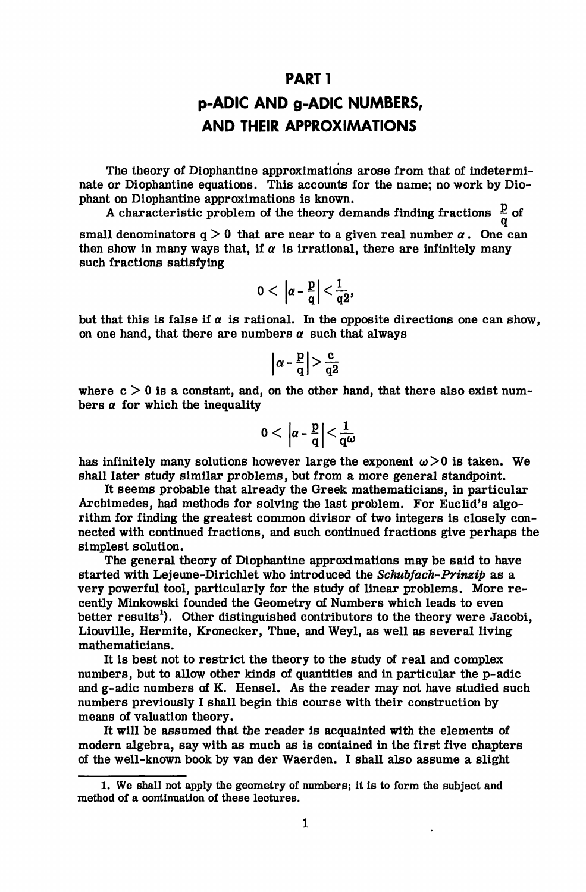## **PARTI**

## **p-ADIC AND g-ADIC NUMBERS, AND THEIR APPROXIMATIONS**

The theory of Diophantine approximations arose from that of indeterminate or Diophantine equations. This accounts for the name; no work by Diophant on Diophantine approximations is known.

A characteristic problem of the theory demands finding fractions  $\frac{p}{q}$  of small denominators  $q > 0$  that are near to a given real number  $\alpha$ . One can then show in many ways that, if  $\alpha$  is irrational, there are infinitely many such fractions satisfying

$$
0<\left|\alpha-\frac{p}{q}\right|<\frac{1}{q2},
$$

but that this is false if  $\alpha$  is rational. In the opposite directions one can show, on one hand, that there are numbers  $\alpha$  such that always

$$
\left|\alpha - \frac{p}{q}\right| > \frac{c}{q2}
$$

where  $c > 0$  is a constant, and, on the other hand, that there also exist numbers  $\alpha$  for which the inequality

$$
0<\left|\alpha-\frac{p}{q}\right|<\frac{1}{q\omega}
$$

has infinitely many solutions however large the exponent  $\omega > 0$  is taken. We shall later study similar problems, but from a more general standpoint.

It seems probable that already the Greek mathematicians, in particular Archimedes, had methods for solving the last problem. For Euclid's algorithm for finding the greatest common divisor of two integers is closely connected with continued fractions, and such continued fractions give perhaps the simplest solution.

The general theory of Diophantine approximations may be said to have started with Lejeune-Dirichlet who introduced the *Schubfach-Prinzip* as a very powerful tool, particularly for the study of linear problems. More recently Minkowski founded the Geometry of Numbers which leads to even better results<sup>1</sup>). Other distinguished contributors to the theory were Jacobi, Liouville, Hermite, Kronecker, Thue, and Weyl, as well as several living mathematicians.

It is best not to restrict the theory to the study of real and complex numbers, but to allow other kinds of quantities and in particular the p-adic and g-adic numbers of K. Hensel. As the reader may not have studied such numbers previously I shall begin this course with their construction by means of valuation theory.

It will be assumed that the reader is acquainted with the elements of modern algebra, say with as much as is contained in the first five chapters of the well-known book by van der Waerden. I shall also assume a slight

<sup>1.</sup> We shall not apply the geometry of numbers; it is to form the subject and method of a continuation of these lectures.